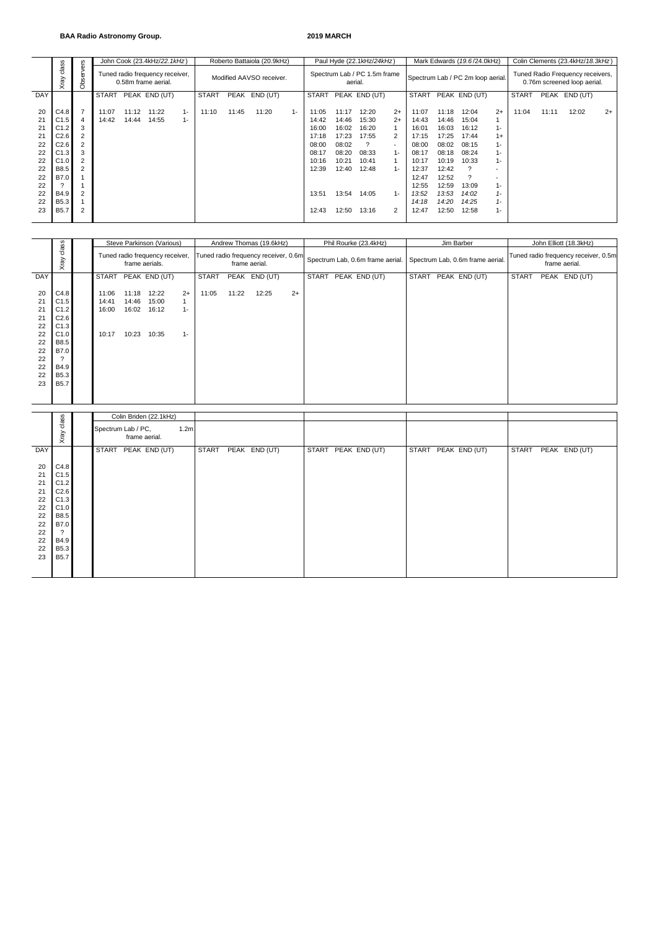### **BAA Radio Astronomy Group. 2019 MARCH**

|                                                                            |                                                                                                            |                                                                                                                 |                |                | John Cook (23.4kHz/22.1kHz)                            |                |              |       | Roberto Battaiola (20.9kHz) |       |                                                                                        | Paul Hyde (22.1kHz/24kHz)                                                              |                                                                               |                                                                             | Mark Edwards (19.6/24.0kHz)                                                                                       |                                                                                                                   | Colin Clements (23.4kHz/18.3kHz)                                                                     |                                                                                                            |              |       |               |      |
|----------------------------------------------------------------------------|------------------------------------------------------------------------------------------------------------|-----------------------------------------------------------------------------------------------------------------|----------------|----------------|--------------------------------------------------------|----------------|--------------|-------|-----------------------------|-------|----------------------------------------------------------------------------------------|----------------------------------------------------------------------------------------|-------------------------------------------------------------------------------|-----------------------------------------------------------------------------|-------------------------------------------------------------------------------------------------------------------|-------------------------------------------------------------------------------------------------------------------|------------------------------------------------------------------------------------------------------|------------------------------------------------------------------------------------------------------------|--------------|-------|---------------|------|
|                                                                            | class<br>ξg<br>$\times$                                                                                    | servers<br>රි                                                                                                   |                |                | Tuned radio frequency receiver,<br>0.58m frame aerial. |                |              |       | Modified AAVSO receiver.    |       | aerial.                                                                                | Spectrum Lab / PC 1.5m frame                                                           |                                                                               |                                                                             | Spectrum Lab / PC 2m loop aerial.                                                                                 |                                                                                                                   | Tuned Radio Frequency receivers,<br>0.76m screened loop aerial.                                      |                                                                                                            |              |       |               |      |
| DAY                                                                        |                                                                                                            |                                                                                                                 | <b>START</b>   |                | PEAK END (UT)                                          |                | <b>START</b> |       | PEAK END (UT)               |       | <b>START</b>                                                                           |                                                                                        | PEAK END (UT)                                                                 |                                                                             | <b>START</b>                                                                                                      |                                                                                                                   | PEAK END (UT)                                                                                        |                                                                                                            | <b>START</b> |       | PEAK END (UT) |      |
| 20<br>21<br>21<br>21<br>22<br>22<br>22<br>22<br>22<br>22<br>22<br>22<br>23 | C4.8<br>C1.5<br>C1.2<br>C2.6<br>C2.6<br>C1.3<br>C1.0<br>B8.5<br>B7.0<br>B4.9<br><b>B5.3</b><br><b>B5.7</b> | $\overline{7}$<br>$\overline{4}$<br>3<br>2<br>$\overline{2}$<br>3<br>$\overline{2}$<br>$\overline{2}$<br>2<br>2 | 11:07<br>14:42 | 11:12<br>14:44 | 11:22<br>14:55                                         | $1 -$<br>$1 -$ | 11:10        | 11:45 | 11:20                       | $1 -$ | 11:05<br>14:42<br>16:00<br>17:18<br>08:00<br>08:17<br>10:16<br>12:39<br>13:51<br>12:43 | 11:17<br>14:46<br>16:02<br>17:23<br>08:02<br>08:20<br>10:21<br>12:40<br>13:54<br>12:50 | 12:20<br>15:30<br>16:20<br>17:55<br>08:33<br>10:41<br>12:48<br>14:05<br>13:16 | $2+$<br>$2+$<br>$\mathbf{1}$<br>2<br>$\sim$<br>$1 -$<br>$1 -$<br>$1 -$<br>2 | 11:07<br>14:43<br>16:01<br>17:15<br>08:00<br>08:17<br>10:17<br>12:37<br>12:47<br>12:55<br>13:52<br>14:18<br>12:47 | 11:18<br>14:46<br>16:03<br>17:25<br>08:02<br>08:18<br>10:19<br>12:42<br>12:52<br>12:59<br>13:53<br>14:20<br>12:50 | 12:04<br>15:04<br>16:12<br>17:44<br>08:15<br>08:24<br>10:33<br>?<br>13:09<br>14:02<br>14:25<br>12:58 | $2+$<br>$1 -$<br>$1+$<br>$1 -$<br>1-<br>$1 -$<br>$\overline{\phantom{a}}$<br>$1 -$<br>1-<br>$1 -$<br>$1 -$ | 11:04        | 11:11 | 12:02         | $2+$ |

|                                                                      |                                                                                                                |                                  |                                  | Steve Parkinson (Various)                         |                        |              |               | Andrew Thomas (19.6kHz) |      |                                                                       | Phil Rourke (23.4kHz) |                                  | Jim Barber                                            | John Elliott (18.3kHz) |  |               |  |
|----------------------------------------------------------------------|----------------------------------------------------------------------------------------------------------------|----------------------------------|----------------------------------|---------------------------------------------------|------------------------|--------------|---------------|-------------------------|------|-----------------------------------------------------------------------|-----------------------|----------------------------------|-------------------------------------------------------|------------------------|--|---------------|--|
|                                                                      | dass<br>Xray                                                                                                   |                                  |                                  | Tuned radio frequency receiver,<br>frame aerials. |                        |              | frame aerial. |                         |      | Tuned radio frequency receiver, 0.6m Spectrum Lab, 0.6m frame aerial. |                       | Spectrum Lab, 0.6m frame aerial. | Tuned radio frequency receiver, 0.5m<br>frame aerial. |                        |  |               |  |
| <b>DAY</b>                                                           |                                                                                                                |                                  |                                  | START PEAK END (UT)                               |                        | <b>START</b> |               | PEAK END (UT)           |      | <b>START</b>                                                          | PEAK END (UT)         |                                  | START PEAK END (UT)                                   | <b>START</b>           |  | PEAK END (UT) |  |
| 20<br>21<br>21<br>21<br>22<br>22<br>22<br>22<br>22<br>22<br>22<br>23 | C4.8<br>C1.5<br>C1.2<br>C2.6<br>C1.3<br>C1.0<br><b>B8.5</b><br>B7.0<br>?<br>B4.9<br><b>B5.3</b><br><b>B5.7</b> | 11:06<br>14:41<br>16:00<br>10:17 | 11:18<br>14:46<br>16:02<br>10:23 | 12:22<br>15:00<br>16:12<br>10:35                  | $2+$<br>$1 -$<br>$1 -$ | 11:05        | 11:22         | 12:25                   | $2+$ |                                                                       |                       |                                  |                                                       |                        |  |               |  |
|                                                                      |                                                                                                                |                                  |                                  |                                                   |                        |              |               |                         |      |                                                                       |                       |                                  |                                                       |                        |  |               |  |
|                                                                      | class                                                                                                          |                                  |                                  | Colin Briden (22.1kHz)                            |                        |              |               |                         |      |                                                                       |                       |                                  |                                                       |                        |  |               |  |
|                                                                      | Xray                                                                                                           | Spectrum Lab / PC,               | frame aerial.                    |                                                   | 1.2 <sub>m</sub>       |              |               |                         |      |                                                                       |                       |                                  |                                                       |                        |  |               |  |

|                                                                      |                                                                                                           | Colin Briden (22.1kHz)                                  |                               |                     |                     |                               |
|----------------------------------------------------------------------|-----------------------------------------------------------------------------------------------------------|---------------------------------------------------------|-------------------------------|---------------------|---------------------|-------------------------------|
|                                                                      | class<br>Xray                                                                                             | Spectrum Lab / PC,<br>1.2 <sub>m</sub><br>frame aerial. |                               |                     |                     |                               |
| DAY                                                                  |                                                                                                           | <b>START</b><br>PEAK END (UT)                           | <b>START</b><br>PEAK END (UT) | START PEAK END (UT) | START PEAK END (UT) | <b>START</b><br>PEAK END (UT) |
| 20<br>21<br>21<br>21<br>22<br>22<br>22<br>22<br>22<br>22<br>22<br>23 | C4.8<br>C1.5<br>C1.2<br>C2.6<br>C1.3<br>C1.0<br><b>B8.5</b><br>B7.0<br>B4.9<br><b>B5.3</b><br><b>B5.7</b> |                                                         |                               |                     |                     |                               |
|                                                                      |                                                                                                           |                                                         |                               |                     |                     |                               |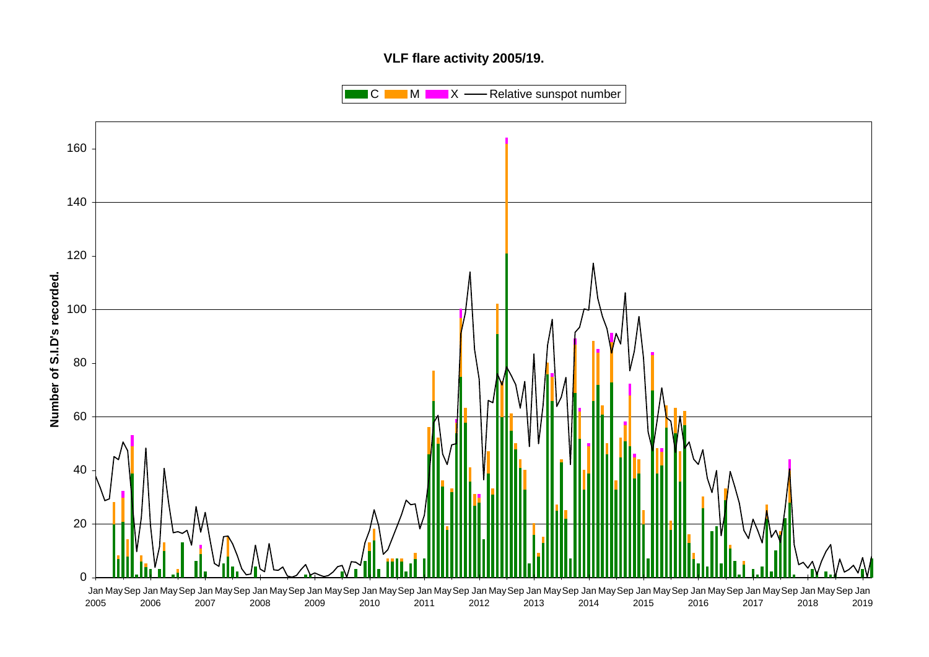# **VLF flare activity 2005/19.**

 $\blacksquare$  C  $\blacksquare$  M  $\blacksquare$   $\blacksquare$  X  $\blacksquare$  Relative sunspot number

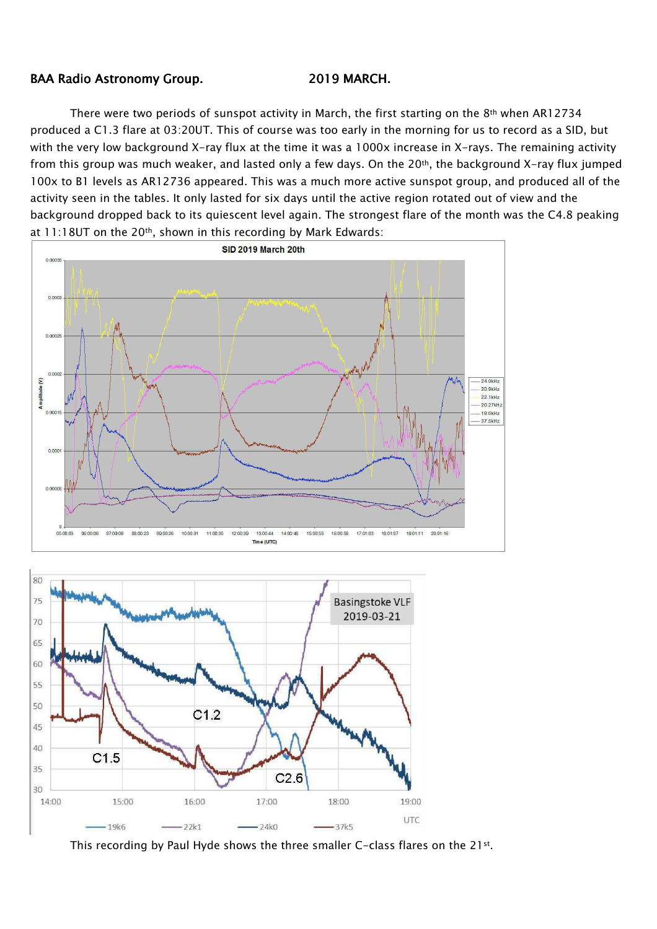## BAA Radio Astronomy Group. 2019 MARCH.

There were two periods of sunspot activity in March, the first starting on the 8<sup>th</sup> when AR12734 produced a C1.3 flare at 03:20UT. This of course was too early in the morning for us to record as a SID, but with the very low background X-ray flux at the time it was a 1000x increase in X-rays. The remaining activity from this group was much weaker, and lasted only a few days. On the 20<sup>th</sup>, the background X-ray flux jumped 100x to B1 levels as AR12736 appeared. This was a much more active sunspot group, and produced all of the activity seen in the tables. It only lasted for six days until the active region rotated out of view and the background dropped back to its quiescent level again. The strongest flare of the month was the C4.8 peaking at  $11:18$ UT on the 20<sup>th</sup>, shown in this recording by Mark Edwards:





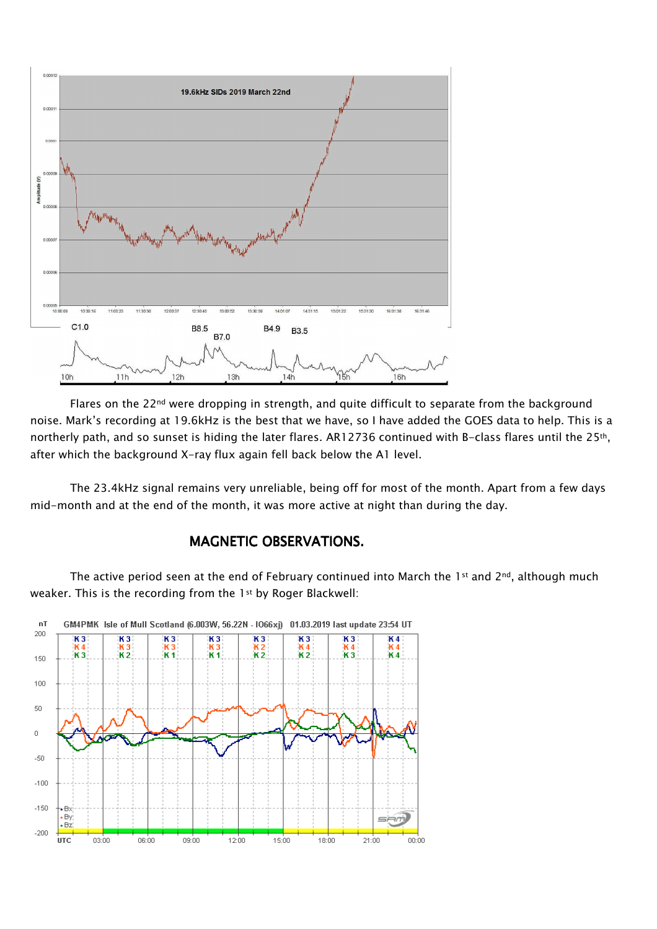

Flares on the 22<sup>nd</sup> were dropping in strength, and quite difficult to separate from the background noise. Mark's recording at 19.6kHz is the best that we have, so I have added the GOES data to help. This is a northerly path, and so sunset is hiding the later flares. AR12736 continued with B-class flares until the 25<sup>th</sup>, after which the background X-ray flux again fell back below the A1 level.

The 23.4kHz signal remains very unreliable, being off for most of the month. Apart from a few days mid-month and at the end of the month, it was more active at night than during the day.

# MAGNETIC OBSERVATIONS.

The active period seen at the end of February continued into March the 1st and 2<sup>nd</sup>, although much weaker. This is the recording from the 1st by Roger Blackwell:

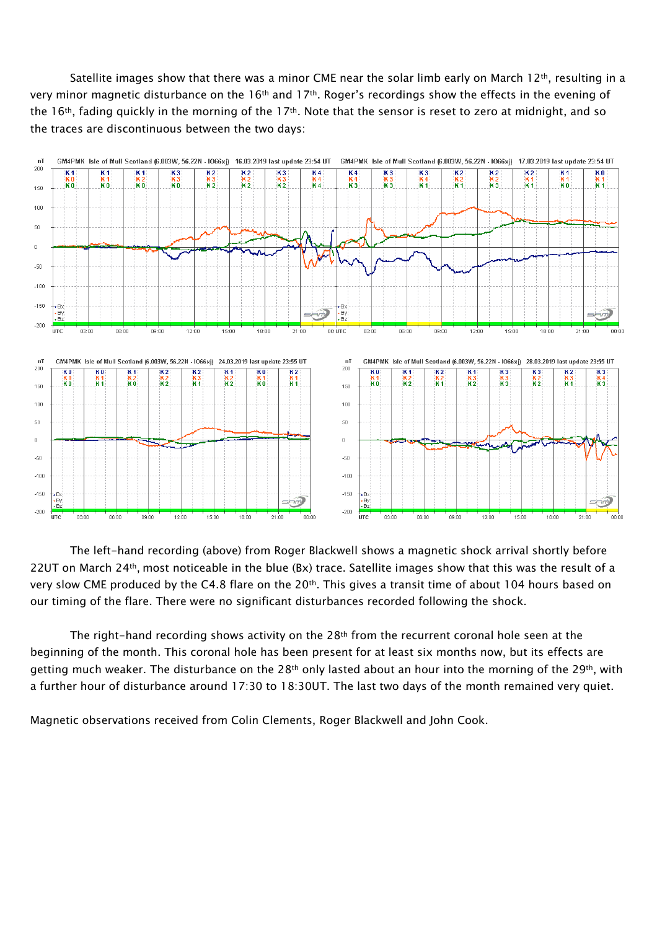Satellite images show that there was a minor CME near the solar limb early on March 12<sup>th</sup>, resulting in a very minor magnetic disturbance on the 16th and 17th. Roger's recordings show the effects in the evening of the 16<sup>th</sup>, fading quickly in the morning of the 17<sup>th</sup>. Note that the sensor is reset to zero at midnight, and so the traces are discontinuous between the two days:



The left-hand recording (above) from Roger Blackwell shows a magnetic shock arrival shortly before 22UT on March 24th, most noticeable in the blue (Bx) trace. Satellite images show that this was the result of a very slow CME produced by the C4.8 flare on the 20<sup>th</sup>. This gives a transit time of about 104 hours based on our timing of the flare. There were no significant disturbances recorded following the shock.

The right-hand recording shows activity on the  $28<sup>th</sup>$  from the recurrent coronal hole seen at the beginning of the month. This coronal hole has been present for at least six months now, but its effects are getting much weaker. The disturbance on the 28<sup>th</sup> only lasted about an hour into the morning of the 29<sup>th</sup>, with a further hour of disturbance around 17:30 to 18:30UT. The last two days of the month remained very quiet.

Magnetic observations received from Colin Clements, Roger Blackwell and John Cook.